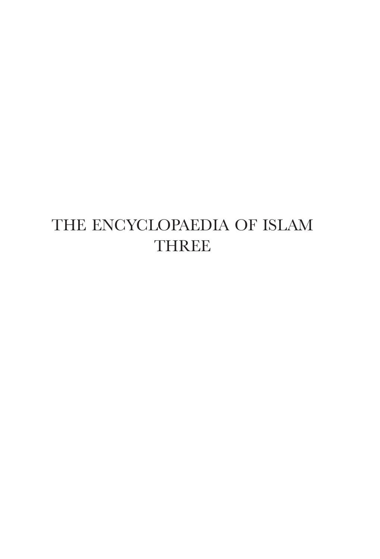# THE ENCYCLOPAEDIA OF ISLAM THREE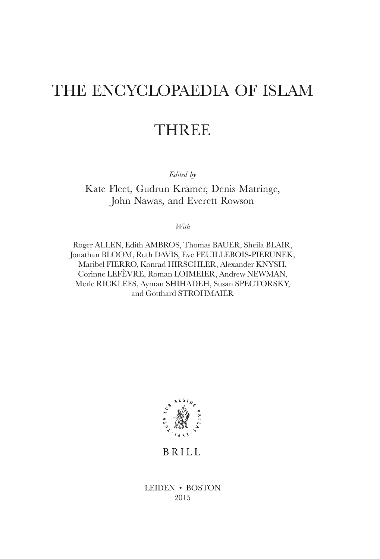# The Encyclopaedia of Islam

## **THREE**

*Edited by*

Kate Fleet, Gudrun Krämer, Denis Matringe, John Nawas, and Everett Rowson

*With*

Roger ALLEN, Edith AMBROS, Thomas BAUER, Sheila BLAIR, Jonathan BLOOM, Ruth DAVIS, Eve FEUILLEBOIS-PIERUNEK, Maribel FIERRO, Konrad HIRSCHLER, Alexander KNYSH, Corinne LEFÈVRE, Roman LOIMEIER, Andrew NEWMAN, Merle RICKLEFS, Ayman SHIHADEH, Susan SPECTORSKY, and Gotthard STROHMAIER



### **BRILL**

Leiden • boston 2015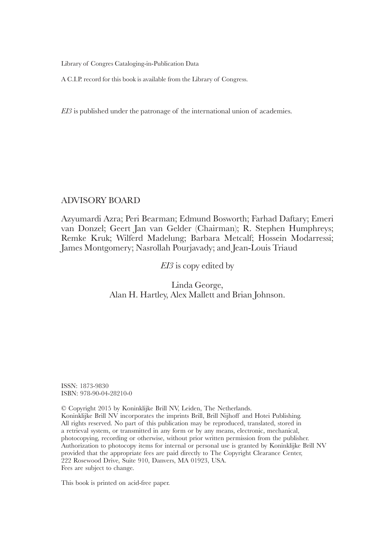Library of Congres Cataloging-in-Publication Data

A C.I.P. record for this book is available from the Library of Congress.

*EI3* is published under the patronage of the international union of academies.

### ADVISORY BOARD

Azyumardi Azra; Peri Bearman; Edmund Bosworth; Farhad Daftary; Emeri van Donzel; Geert Jan van Gelder (Chairman); R. Stephen Humphreys; Remke Kruk; Wilferd Madelung; Barbara Metcalf; Hossein Modarressi; James Montgomery; Nasrollah Pourjavady; and Jean-Louis Triaud

*EI3* is copy edited by

Linda George, Alan H. Hartley, Alex Mallett and Brian Johnson.

ISSN: 1873-9830 ISBN: 978-90-04-28210-0

© Copyright 2015 by Koninklijke Brill NV, Leiden, The Netherlands. Koninklijke Brill NV incorporates the imprints Brill, Brill Nijhoff and Hotei Publishing. All rights reserved. No part of this publication may be reproduced, translated, stored in a retrieval system, or transmitted in any form or by any means, electronic, mechanical, photocopying, recording or otherwise, without prior written permission from the publisher. Authorization to photocopy items for internal or personal use is granted by Koninklijke Brill NV provided that the appropriate fees are paid directly to The Copyright Clearance Center, 222 Rosewood Drive, Suite 910, Danvers, MA 01923, USA. Fees are subject to change.

This book is printed on acid-free paper.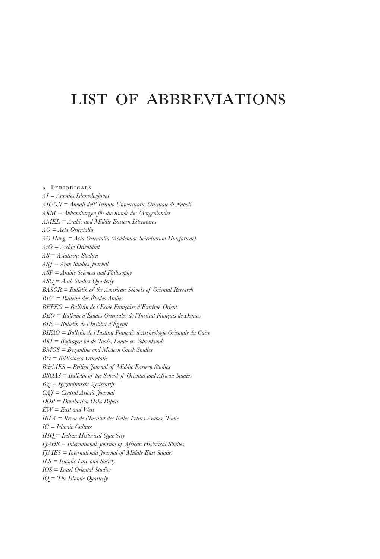### list of abbreviations

a. Periodicals *AI = Annales Islamologiques AIUON = Annali dell' Istituto Universitario Orientale di Napoli AKM = Abhandlungen für die Kunde des Morgenlandes AMEL = Arabic and Middle Eastern Literatures AO = Acta Orientalia AO Hung. = Acta Orientalia (Academiae Scientiarum Hungaricae) ArO = Archiv Orientální AS = Asiatische Studien ASJ = Arab Studies Journal ASP = Arabic Sciences and Philosophy ASQ = Arab Studies Quarterly BASOR = Bulletin of the American Schools of Oriental Research BEA = Bulletin des Études Arabes BEFEO = Bulletin de l'Ecole Française d'Extrême-Orient BEO = Bulletin d'Études Orientales de l'Institut Français de Damas BIE = Bulletin de l'Institut d'Égypte BIFAO = Bulletin de l'Institut Français d'Archéologie Orientale du Caire BKI = Bijdragen tot de Taal-, Land- en Volkenkunde BMGS = Byzantine and Modern Greek Studies BO = Bibliotheca Orientalis BrisMES = British Journal of Middle Eastern Studies BSOAS = Bulletin of the School of Oriental and African Studies BZ = Byzantinische Zeitschrift CAJ = Central Asiatic Journal DOP = Dumbarton Oaks Papers EW = East and West IBLA = Revue de l'Institut des Belles Lettres Arabes, Tunis IC = Islamic Culture IHQ = Indian Historical Quarterly IJAHS = International Journal of African Historical Studies IJMES = International Journal of Middle East Studies ILS = Islamic Law and Society IOS = Israel Oriental Studies IQ = The Islamic Quarterly*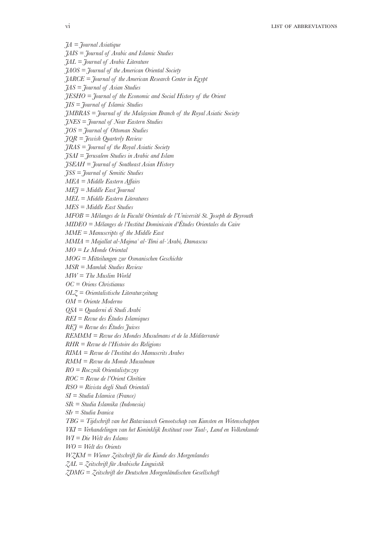*JA = Journal Asiatique JAIS = Journal of Arabic and Islamic Studies JAL = Journal of Arabic Literature JAOS = Journal of the American Oriental Society JARCE = Journal of the American Research Center in Egypt JAS = Journal of Asian Studies JESHO = Journal of the Economic and Social History of the Orient JIS = Journal of Islamic Studies JMBRAS = Journal of the Malaysian Branch of the Royal Asiatic Society JNES = Journal of Near Eastern Studies JOS = Journal of Ottoman Studies JQR = Jewish Quarterly Review JRAS = Journal of the Royal Asiatic Society JSAI = Jerusalem Studies in Arabic and Islam JSEAH = Journal of Southeast Asian History JSS = Journal of Semitic Studies MEA = Middle Eastern Affairs MEJ = Middle East Journal MEL = Middle Eastern Literatures MES = Middle East Studies MFOB = Mélanges de la Faculté Orientale de l'Université St. Joseph de Beyrouth MIDEO = Mélanges de l'Institut Dominicain d'Études Orientales du Caire MME = Manuscripts of the Middle East MMIA = Majallat al-Majma al-Ilmi al-Arabi, Damascus MO = Le Monde Oriental MOG = Mitteilungen zur Osmanischen Geschichte MSR = Mamluk Studies Review MW = The Muslim World OC = Oriens Christianus OLZ = Orientalistische Literaturzeitung OM = Oriente Moderno QSA = Quaderni di Studi Arabi REI = Revue des Études Islamiques REJ = Revue des Études Juives REMMM = Revue des Mondes Musulmans et de la Méditerranée RHR = Revue de l'Histoire des Religions RIMA = Revue de l'Institut des Manuscrits Arabes RMM = Revue du Monde Musulman RO = Rocznik Orientalistyczny ROC = Revue de l'Orient Chrétien RSO = Rivista degli Studi Orientali SI = Studia Islamica (France) SIk = Studia Islamika (Indonesia) SIr = Studia Iranica TBG = Tijdschrift van het Bataviaasch Genootschap van Kunsten en Wetenschappen VKI = Verhandelingen van het Koninklijk Instituut voor Taal-, Land en Volkenkunde WI = Die Welt des Islams WO = Welt des Orients WZKM = Wiener Zeitschrift für die Kunde des Morgenlandes ZAL = Zeitschrift für Arabische Linguistik*

*ZDMG = Zeitschrift der Deutschen Morgenländischen Gesellschaft*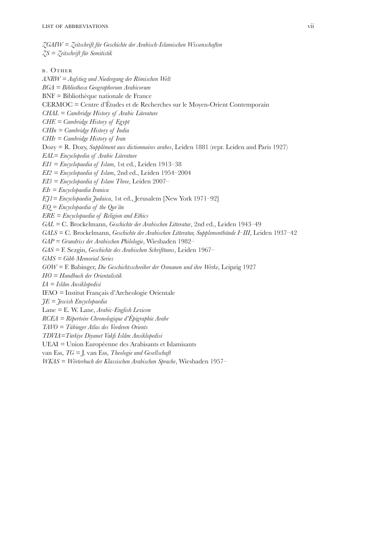b. Other *ANRW = Aufstieg und Niedergang der Römischen Welt BGA = Bibliotheca Geographorum Arabicorum* BNF = Bibliothèque nationale de France CERMOC = Centre d'Études et de Recherches sur le Moyen-Orient Contemporain *CHAL = Cambridge History of Arabic Literature CHE = Cambridge History of Egypt CHIn = Cambridge History of India CHIr = Cambridge History of Iran* Dozy = R. Dozy, *Supplément aux dictionnaires arabes*, Leiden 1881 (repr. Leiden and Paris 1927) *EAL= Encyclopedia of Arabic Literature EI1 = Encyclopaedia of Islam*, 1st ed., Leiden 1913–38 *EI2 = Encyclopaedia of Islam*, 2nd ed., Leiden 1954–2004 *EI3 = Encyclopaedia of Islam Three*, Leiden 2007– *EIr = Encyclopaedia Iranica EJ1= Encyclopaedia Judaica*, 1st ed., Jerusalem [New York 1971–92]  $EQ = Encyclopedia of the Qur<sup>2</sup>an$ *ERE = Encyclopaedia of Religion and Ethics GAL =* C. Brockelmann, *Geschichte der Arabischen Litteratur*, 2nd ed., Leiden 1943–49 *GALS =* C. Brockelmann, *Geschichte der Arabischen Litteratur, Supplementbände I–III*, Leiden 1937–42 *GAP = Grundriss der Arabischen Philologie*, Wiesbaden 1982– *GAS =* F. Sezgin, *Geschichte des Arabischen Schrifttums*, Leiden 1967– *GMS = Gibb Memorial Series GOW =* F. Babinger, *Die Geschichtsschreiber der Osmanen und ihre Werke*, Leipzig 1927 *HO = Handbuch der Orientalistik IA = Islâm Ansiklopedisi* IFAO *=* Institut Français d'Archeologie Orientale *JE = Jewish Encyclopaedia* Lane *=* E. W. Lane, *Arabic-English Lexicon RCEA = Répertoire Chronologique d'Épigraphie Arabe TAVO = Tübinger Atlas des Vorderen Orients TDVIA=Türkiye Diyanet Vakfi Islâm Ansiklopedisi* UEAI *=* Union Européenne des Arabisants et Islamisants van Ess, *TG =* J. van Ess, *Theologie und Gesellschaft WKAS = Wörterbuch der Klassischen Arabischen Sprache*, Wiesbaden 1957–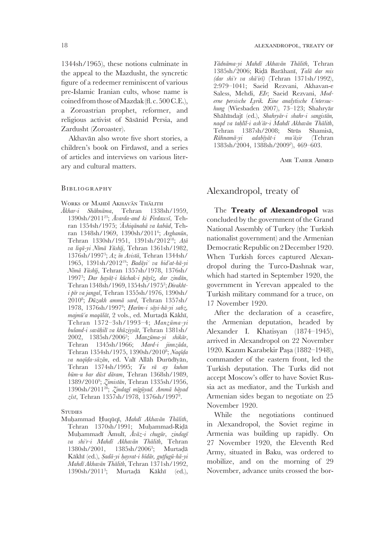1344sh/1965), these notions culminate in the appeal to the Mazdusht, the syncretic figure of a redeemer reminiscent of various pre-Islamic Iranian cults, whose name is coined from those of Mazdak (fl. c. 500 C.E.), a Zoroastrian prophet, reformer, and religious activist of Sāsānid Persia, and Zardusht (Zoroaster).

Akhavān also wrote five short stories, a children's book on Firdaws<sub>1</sub>, and a series of articles and interviews on various literary and cultural matters.

#### **BIBLIOGRAPHY**

WORKS OF MAHDĪ AKHAVĀN THĀLITH

*khar-i Shhnma*, Tehran 1338sh/1959, 1390sh/2011<sup>23</sup>; *Āvarda-and ki Firdawsī*, Tehran 1354sh/1975; *shiqnah va kabd*, Tehran 1348sh/1969, 1390sh/20116 ; *Arghann*, Tehran 1330sh/1951, 1391sh/201218; *A va liq-yi Nm Yshj*, Tehran 1361sh/1982, 1376sh/19973 ; *Az n Avist*, Tehran 1344sh/ 1965, 1391sh/201219; *Badyi va bidat-h-yi Nm Yshj*, Tehran 1357sh/1978, 1376sh/ 19973 ; *Dar ay-i kchak-i pyz, dar zindn*, Tehran 1348sh/1969, 1354sh/19752 ; *Dirakhti pr va jangal*, Tehran 1355sh/1976, 1390sh/ 2010<sup>8</sup>; *Dūzakh ammā sard*, Tehran 1357sh/ 1978, 1376sh/19978 ; *arm-i syi-h-yi sabz,*   $majm\bar{u}$ 'a maqālāt, 2 vols., ed. Murtadā Kākhī, Tehran 1372–3sh/1993–4; *Manma-yi buland-i savil va khziyyt*, Tehran 1381sh/ 2002, 1385sh/20062 ; *Manma-yi shikr*, Tehran 1345sh/1966; *Mard-i jinnzda*, Tehran 1354sh/1975, 1390sh/20108 ; *Naqa*   $va$  naq*ida-sāzān*, ed. Valī Allāh Durūdīyān, Tehran 1374sh/1995; *Tu r ay kuhan bm-u bar dst dram*, Tehran 1368sh/1989, 1389/20109 ; *Zimistn*, Tehran 1335sh/1956, 1390sh/201128; *Zindag mgyad. Amm byad zst*, Tehran 1357sh/1978, 1376sh/19978 .

**STUDIES** 

Muhammad Huqūqī, Mahdī Akhavān Thālith, Tehran 1370sh/1991; Muhammad-Ridā Muhammadī Āmulī, *Āvāz-i chugūr*, *zindagī va shir-i Mahd Akhavn Thlith*, Tehran  $1385sh/2006^3$ : . Murtadā Kākhī (ed.), *Sadā-yi hayrat-i bīdār*, *gutfugū-hā-yi Mahd Akhavn Thlith*, Tehran 1371sh/1992, 1390sh/2011<sup>3</sup>; Murtadā Kākhī (ed.),

*Ydnma-yi Mahd Akhavn Thlith*, Tehran 1385sh/2006; Ridā Barāhanī, *Țalā dar mis (dar shir va shir)* (Tehran 1371sh/1992), 2:979–1041; Saeid Rezvani, Akhavan-e Saless, Mehdi, *EIr*; Saeid Rezvani, *Moderne persische Lyrik. Eine analytische Untersuchung* (Wiesbaden 2007), 73-123; Shahryār Shāhīndajī (ed.), *Shahryār-i shahr-i sangistān*, *naqd va tall-i ashr-i Mahd Akhavn Thlith*, Tehran 1387sh/2008; Sīrūs Shamisā,<br>
Rāhnamā-yi adabīyāt-i mu'āsir (Tehran *Rhnam-yi adabyt-i muir* (Tehran 1383sh/2004, 1388sh/2009<sup>2</sup>), 469–603.

Amr Taher Ahmed

### Alexandropol, treaty of

The **Treaty of Alexandropol** was concluded by the government of the Grand National Assembly of Turkey (the Turkish nationalist government) and the Armenian Democratic Republic on 2 December 1920. When Turkish forces captured Alexandropol during the Turco-Dashnak war, which had started in September 1920, the government in Yerevan appealed to the Turkish military command for a truce, on 17 November 1920.

After the declaration of a ceasefire, the Armenian deputation, headed by Alexander I. Khatisyan (1874–1945), arrived in Alexandropol on 22 November 1920. Kazm Karabekir Paa (1882–1948), commander of the eastern front, led the Turkish deputation. The Turks did not accept Moscow's offer to have Soviet Russia act as mediator, and the Turkish and Armenian sides began to negotiate on 25 November 1920.

While the negotiations continued in Alexandropol, the Soviet regime in Armenia was building up rapidly. On 27 November 1920, the Eleventh Red Army, situated in Baku, was ordered to mobilize, and on the morning of 29 November, advance units crossed the bor